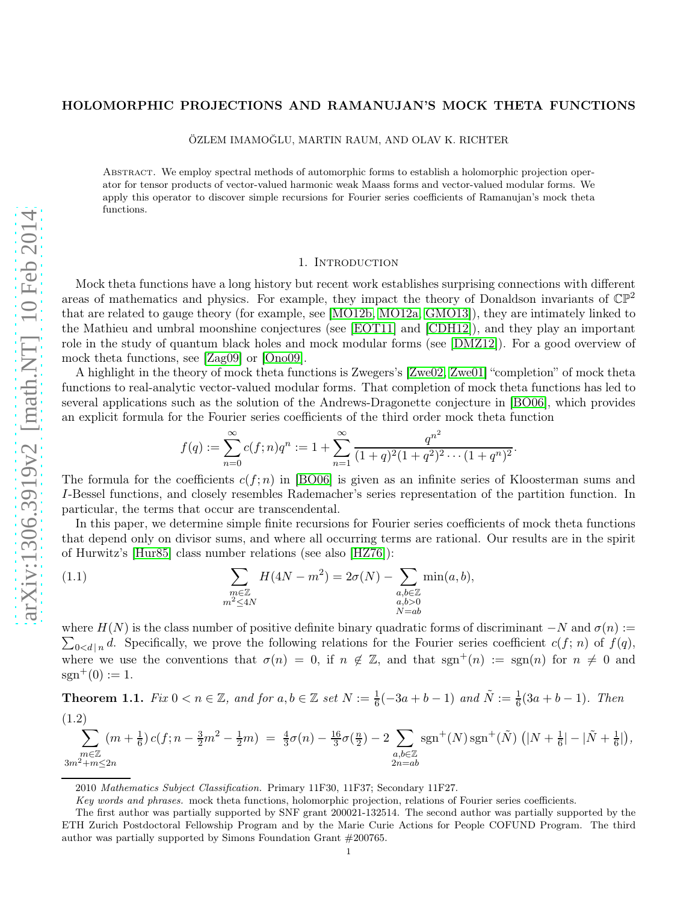# HOLOMORPHIC PROJECTIONS AND RAMANUJAN'S MOCK THETA FUNCTIONS

ÖZLEM IMAMOĞLU, MARTIN RAUM, AND OLAV K. RICHTER

Abstract. We employ spectral methods of automorphic forms to establish a holomorphic projection operator for tensor products of vector-valued harmonic weak Maass forms and vector-valued modular forms. We apply this operator to discover simple recursions for Fourier series coefficients of Ramanujan's mock theta functions.

#### 1. INTRODUCTION

Mock theta functions have a long history but recent work establishes surprising connections with different areas of mathematics and physics. For example, they impact the theory of Donaldson invariants of  $\mathbb{CP}^2$ that are related to gauge theory (for example, see [\[MO12b,](#page-9-0) [MO12a,](#page-9-1) [GMO13\]](#page-9-2)), they are intimately linked to the Mathieu and umbral moonshine conjectures (see [\[EOT11\]](#page-9-3) and [\[CDH12\]](#page-9-4)), and they play an important role in the study of quantum black holes and mock modular forms (see [\[DMZ12\]](#page-9-5)). For a good overview of mock theta functions, see [\[Zag09\]](#page-9-6) or [\[Ono09\]](#page-9-7).

A highlight in the theory of mock theta functions is Zwegers's [\[Zwe02,](#page-9-8) [Zwe01\]](#page-9-9) "completion" of mock theta functions to real-analytic vector-valued modular forms. That completion of mock theta functions has led to several applications such as the solution of the Andrews-Dragonette conjecture in [\[BO06\]](#page-9-10), which provides an explicit formula for the Fourier series coefficients of the third order mock theta function

$$
f(q) := \sum_{n=0}^{\infty} c(f; n) q^n := 1 + \sum_{n=1}^{\infty} \frac{q^{n^2}}{(1+q)^2 (1+q^2)^2 \cdots (1+q^n)^2}.
$$

The formula for the coefficients  $c(f; n)$  in [\[BO06\]](#page-9-10) is given as an infinite series of Kloosterman sums and I-Bessel functions, and closely resembles Rademacher's series representation of the partition function. In particular, the terms that occur are transcendental.

In this paper, we determine simple finite recursions for Fourier series coefficients of mock theta functions that depend only on divisor sums, and where all occurring terms are rational. Our results are in the spirit of Hurwitz's [\[Hur85\]](#page-9-11) class number relations (see also [\[HZ76\]](#page-9-12)):

<span id="page-0-2"></span>(1.1) 
$$
\sum_{\substack{m \in \mathbb{Z} \\ m^2 \le 4N}} H(4N - m^2) = 2\sigma(N) - \sum_{\substack{a,b \in \mathbb{Z} \\ a,b > 0 \\ N = ab}} \min(a,b),
$$

where  $H(N)$  is the class number of positive definite binary quadratic forms of discriminant  $-N$  and  $\sigma(n) :=$  $\sum_{0 \leq d \mid n} d$ . Specifically, we prove the following relations for the Fourier series coefficient  $c(f; n)$  of  $f(q)$ , where we use the conventions that  $\sigma(n) = 0$ , if  $n \notin \mathbb{Z}$ , and that  $sgn^+(n) := sgn(n)$  for  $n \neq 0$  and  $sgn^+(0) := 1.$ 

<span id="page-0-0"></span>**Theorem 1.1.** Fix  $0 < n \in \mathbb{Z}$ , and for  $a, b \in \mathbb{Z}$  set  $N := \frac{1}{6}(-3a + b - 1)$  and  $\tilde{N} := \frac{1}{6}(3a + b - 1)$ . Then (1.2)

<span id="page-0-1"></span>
$$
\sum_{\substack{m\in\mathbb{Z}\\3m^2+m\leq 2n}} (m+\frac{1}{6}) c(f;n-\frac{3}{2}m^2-\frac{1}{2}m) = \frac{4}{3}\sigma(n)-\frac{16}{3}\sigma(\frac{n}{2})-2\sum_{\substack{a,b\in\mathbb{Z}\\2n=ab}} \text{sgn}^+(N) \text{sgn}^+(\tilde{N}) \left(|N+\frac{1}{6}| - |\tilde{N}+\frac{1}{6}|\right),
$$

<sup>2010</sup> Mathematics Subject Classification. Primary 11F30, 11F37; Secondary 11F27.

Key words and phrases. mock theta functions, holomorphic projection, relations of Fourier series coefficients.

The first author was partially supported by SNF grant 200021-132514. The second author was partially supported by the ETH Zurich Postdoctoral Fellowship Program and by the Marie Curie Actions for People COFUND Program. The third author was partially supported by Simons Foundation Grant #200765.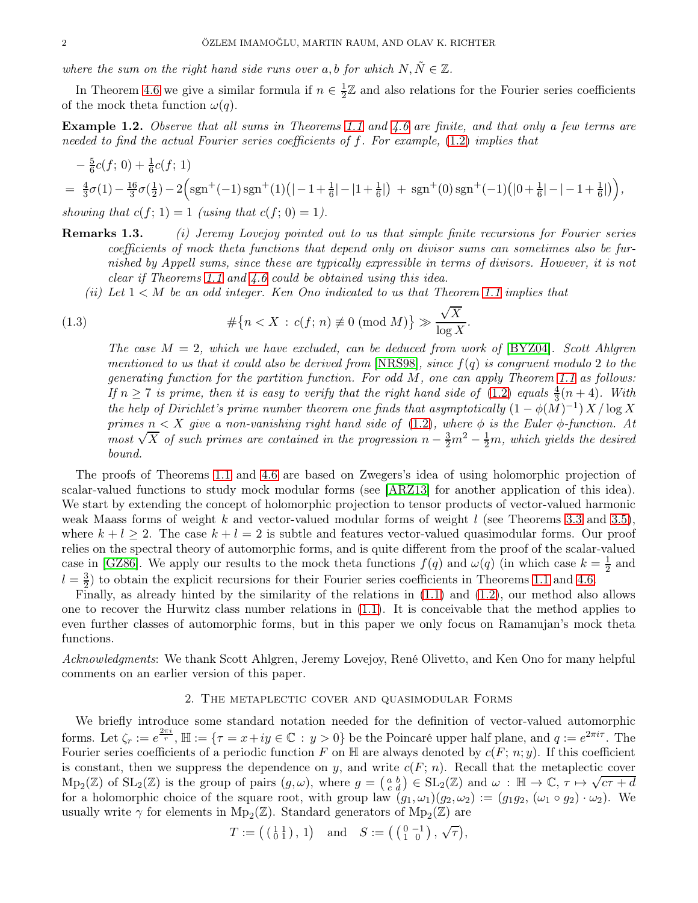where the sum on the right hand side runs over a, b for which  $N, \tilde{N} \in \mathbb{Z}$ .

In Theorem [4.6](#page-8-0) we give a similar formula if  $n \in \frac{1}{2}$  $\frac{1}{2}\mathbb{Z}$  and also relations for the Fourier series coefficients of the mock theta function  $\omega(q)$ .

**Example 1.2.** Observe that all sums in Theorems [1.1](#page-0-0) and [4.6](#page-8-0) are finite, and that only a few terms are needed to find the actual Fourier series coefficients of f. For example, [\(1.2\)](#page-0-1) implies that

$$
-\frac{5}{6}c(f; 0) + \frac{1}{6}c(f; 1)
$$
  
=  $\frac{4}{3}\sigma(1) - \frac{16}{3}\sigma(\frac{1}{2}) - 2\left(\text{sgn}^+(-1)\text{sgn}^+(1)(|-1+\frac{1}{6}|-|1+\frac{1}{6}|) + \text{sgn}^+(0)\text{sgn}^+(-1)(|0+\frac{1}{6}|-|-1+\frac{1}{6}|)\right)$ ,  
showing that  $c(f; 1) = 1$  (using that  $c(f; 0) = 1$ ).

- Remarks 1.3. (i) Jeremy Lovejoy pointed out to us that simple finite recursions for Fourier series coefficients of mock theta functions that depend only on divisor sums can sometimes also be furnished by Appell sums, since these are typically expressible in terms of divisors. However, it is not clear if Theorems [1.1](#page-0-0) and [4.6](#page-8-0) could be obtained using this idea.
	- (ii) Let  $1 < M$  be an odd integer. Ken Ono indicated to us that Theorem [1.1](#page-0-0) implies that

(1.3) 
$$
\#\{n < X \,:\, c(f; n) \not\equiv 0 \pmod{M}\} \gg \frac{\sqrt{X}}{\log X}.
$$

The case  $M = 2$ , which we have excluded, can be deduced from work of [\[BYZ04\]](#page-9-13). Scott Ahlgren mentioned to us that it could also be derived from  $[NRS98]$ , since  $f(q)$  is congruent modulo 2 to the generating function for the partition function. For odd M, one can apply Theorem [1.1](#page-0-0) as follows: If  $n \geq 7$  is prime, then it is easy to verify that the right hand side of  $(1.2)$  equals  $\frac{4}{3}(n+4)$ . With the help of Dirichlet's prime number theorem one finds that asymptotically  $(1 - \phi(M)^{-1}) X / \log X$ primes  $n < X$  give a non-vanishing right hand side of [\(1.2\)](#page-0-1), where  $\phi$  is the Euler  $\phi$ -function. At most  $\sqrt{X}$  of such primes are contained in the progression  $n - \frac{3}{2}m^2 - \frac{1}{2}m$ , which yields the desired bound.

The proofs of Theorems [1.1](#page-0-0) and [4.6](#page-8-0) are based on Zwegers's idea of using holomorphic projection of scalar-valued functions to study mock modular forms (see [\[ARZ13\]](#page-9-15) for another application of this idea). We start by extending the concept of holomorphic projection to tensor products of vector-valued harmonic weak Maass forms of weight k and vector-valued modular forms of weight  $l$  (see Theorems [3.3](#page-3-0) and [3.5\)](#page-5-0), where  $k + l \geq 2$ . The case  $k + l = 2$  is subtle and features vector-valued quasimodular forms. Our proof relies on the spectral theory of automorphic forms, and is quite different from the proof of the scalar-valued case in [\[GZ86\]](#page-9-16). We apply our results to the mock theta functions  $f(q)$  and  $\omega(q)$  (in which case  $k=\frac{1}{2}$ )  $\frac{1}{2}$  and  $l = \frac{3}{2}$ ) to obtain the explicit recursions for their Fourier series coefficients in Theorems [1.1](#page-0-0) and [4.6.](#page-8-0)

Finally, as already hinted by the similarity of the relations in [\(1.1\)](#page-0-2) and [\(1.2\)](#page-0-1), our method also allows one to recover the Hurwitz class number relations in [\(1.1\)](#page-0-2). It is conceivable that the method applies to even further classes of automorphic forms, but in this paper we only focus on Ramanujan's mock theta functions.

Acknowledgments: We thank Scott Ahlgren, Jeremy Lovejoy, René Olivetto, and Ken Ono for many helpful comments on an earlier version of this paper.

# 2. The metaplectic cover and quasimodular Forms

We briefly introduce some standard notation needed for the definition of vector-valued automorphic forms. Let  $\zeta_r := e^{\frac{2\pi i}{r}}$ ,  $\mathbb{H} := \{ \tau = x + iy \in \mathbb{C} : y > 0 \}$  be the Poincaré upper half plane, and  $q := e^{2\pi i \tau}$ . The Fourier series coefficients of a periodic function F on  $\mathbb H$  are always denoted by  $c(F; n; y)$ . If this coefficient is constant, then we suppress the dependence on y, and write  $c(F; n)$ . Recall that the metaplectic cover  $\text{Mp}_2(\mathbb{Z})$  of  $\text{SL}_2(\mathbb{Z})$  is the group of pairs  $(g,\omega)$ , where  $g = \begin{pmatrix} a & b \\ c & d \end{pmatrix} \in \text{SL}_2(\mathbb{Z})$  and  $\omega : \mathbb{H} \to \mathbb{C}$ ,  $\tau \mapsto \sqrt{c\tau + d}$ for a holomorphic choice of the square root, with group law  $(g_1, \omega_1)(g_2, \omega_2) := (g_1g_2, (\omega_1 \circ g_2) \cdot \omega_2)$ . We usually write  $\gamma$  for elements in  $Mp_2(\mathbb{Z})$ . Standard generators of  $Mp_2(\mathbb{Z})$  are

$$
T := \left( \begin{smallmatrix} 1 & 1 \\ 0 & 1 \end{smallmatrix} \right), 1 \right) \quad \text{and} \quad S := \left( \begin{smallmatrix} 0 & -1 \\ 1 & 0 \end{smallmatrix} \right), \sqrt{\tau} \right),
$$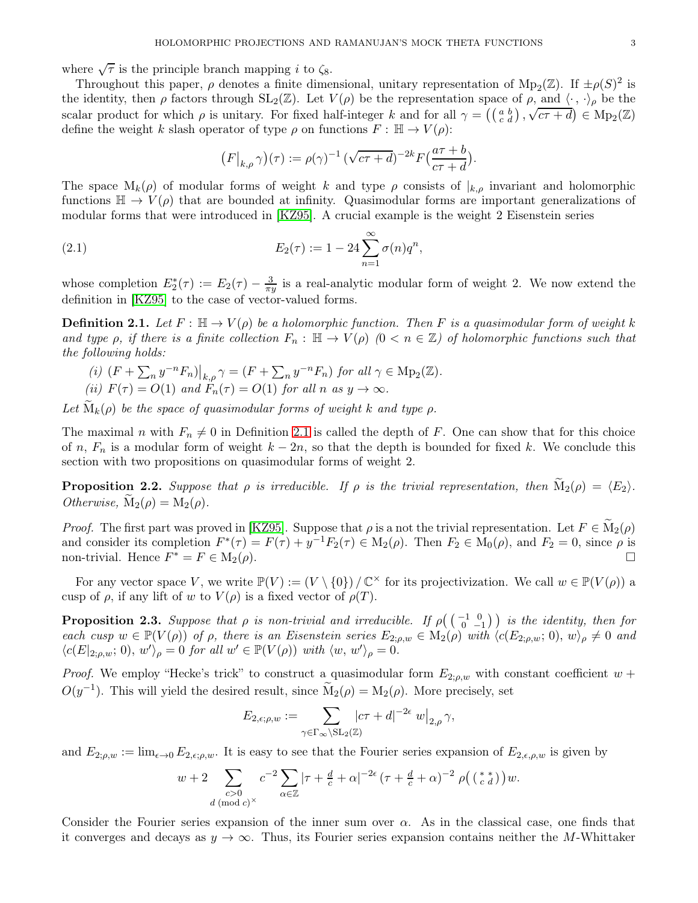where  $\sqrt{\tau}$  is the principle branch mapping *i* to  $\zeta_8$ .

Throughout this paper,  $\rho$  denotes a finite dimensional, unitary representation of  $Mp_2(\mathbb{Z})$ . If  $\pm \rho(S)^2$  is the identity, then  $\rho$  factors through  $SL_2(\mathbb{Z})$ . Let  $V(\rho)$  be the representation space of  $\rho$ , and  $\langle \cdot, \cdot \rangle_{\rho}$  be the scalar product for which  $\rho$  is unitary. For fixed half-integer k and for all  $\gamma = \left(\begin{pmatrix} a & b \\ c & d \end{pmatrix}, \sqrt{c\tau + d} \right) \in \text{Mp}_2(\mathbb{Z})$ define the weight k slash operator of type  $\rho$  on functions  $F : \mathbb{H} \to V(\rho)$ :

$$
(F|_{k,\rho}\gamma)(\tau) := \rho(\gamma)^{-1} \left(\sqrt{c\tau+d}\right)^{-2k} F\left(\frac{a\tau+b}{c\tau+d}\right).
$$

The space  $M_k(\rho)$  of modular forms of weight k and type  $\rho$  consists of  $|_{k,\rho}$  invariant and holomorphic functions  $\mathbb{H} \to V(\rho)$  that are bounded at infinity. Quasimodular forms are important generalizations of modular forms that were introduced in [\[KZ95\]](#page-9-17). A crucial example is the weight 2 Eisenstein series

<span id="page-2-2"></span>(2.1) 
$$
E_2(\tau) := 1 - 24 \sum_{n=1}^{\infty} \sigma(n) q^n,
$$

whose completion  $E_2^*(\tau) := E_2(\tau) - \frac{3}{\pi y}$  is a real-analytic modular form of weight 2. We now extend the definition in [\[KZ95\]](#page-9-17) to the case of vector-valued forms.

<span id="page-2-0"></span>**Definition 2.1.** Let  $F : \mathbb{H} \to V(\rho)$  be a holomorphic function. Then F is a quasimodular form of weight k and type  $\rho$ , if there is a finite collection  $F_n : \mathbb{H} \to V(\rho)$   $(0 < n \in \mathbb{Z})$  of holomorphic functions such that the following holds:

(i)  $(F + \sum_n y^{-n} F_n)|_{k,\rho} \gamma = (F + \sum_n y^{-n} F_n)$  for all  $\gamma \in \text{Mp}_2(\mathbb{Z})$ . (ii)  $F(\tau) = O(1)$  and  $F_n(\tau) = O(1)$  for all n as  $y \to \infty$ .

Let  $M_k(\rho)$  be the space of quasimodular forms of weight k and type  $\rho$ .

The maximal n with  $F_n \neq 0$  in Definition [2.1](#page-2-0) is called the depth of F. One can show that for this choice of n,  $F_n$  is a modular form of weight  $k - 2n$ , so that the depth is bounded for fixed k. We conclude this section with two propositions on quasimodular forms of weight 2.

<span id="page-2-3"></span>**Proposition 2.2.** Suppose that  $\rho$  is irreducible. If  $\rho$  is the trivial representation, then  $\mathbf{M}_2(\rho) = \langle E_2 \rangle$ . Otherwise,  $M_2(\rho) = M_2(\rho)$ .

*Proof.* The first part was proved in [\[KZ95\]](#page-9-17). Suppose that  $\rho$  is a not the trivial representation. Let  $F \in M_2(\rho)$ and consider its completion  $F^*(\tau) = F(\tau) + y^{-1}F_2(\tau) \in M_2(\rho)$ . Then  $F_2 \in M_0(\rho)$ , and  $F_2 = 0$ , since  $\rho$  is non-trivial. Hence  $F^* = F \in M_2(\rho)$ .

For any vector space V, we write  $\mathbb{P}(V) := (V \setminus \{0\}) / \mathbb{C}^{\times}$  for its projectivization. We call  $w \in \mathbb{P}(V(\rho))$  a cusp of  $\rho$ , if any lift of w to  $V(\rho)$  is a fixed vector of  $\rho(T)$ .

<span id="page-2-1"></span>**Proposition 2.3.** Suppose that  $\rho$  is non-trivial and irreducible. If  $\rho\left(\begin{pmatrix} -1 & 0 \\ 0 & -1 \end{pmatrix}\right)$  is the identity, then for each cusp  $w \in \mathbb{P}(V(\rho))$  of  $\rho$ , there is an Eisenstein series  $E_{2,\rho,w} \in M_2(\rho)$  with  $\langle c(E_{2,\rho,w}; 0), w \rangle_{\rho} \neq 0$  and  $\langle c(E|_{2,\rho,w}; 0), w' \rangle_{\rho} = 0$  for all  $w' \in \mathbb{P}(V(\rho))$  with  $\langle w, w' \rangle_{\rho} = 0$ .

*Proof.* We employ "Hecke's trick" to construct a quasimodular form  $E_{2;\rho,w}$  with constant coefficient  $w +$  $O(y^{-1})$ . This will yield the desired result, since  $\widetilde{M}_2(\rho) = M_2(\rho)$ . More precisely, set

$$
E_{2,\epsilon;\rho,w}:=\sum_{\gamma\in\Gamma_\infty\backslash\mathrm{SL}_2(\mathbb{Z})}|c\tau+d|^{-2\epsilon}\left.w\right|_{2,\rho}\gamma,
$$

and  $E_{2,\rho,w} := \lim_{\epsilon \to 0} E_{2,\epsilon,\rho,w}$ . It is easy to see that the Fourier series expansion of  $E_{2,\epsilon,\rho,w}$  is given by

$$
w+2\sum_{\substack{c>0\\d\,(\text{mod }c)^\times}}c^{-2}\sum_{\alpha\in\mathbb{Z}}|\tau+\tfrac{d}{c}+\alpha|^{-2\epsilon}\,(\tau+\tfrac{d}{c}+\alpha)^{-2}\,\,\rho\big(\left(\begin{smallmatrix} * & * \\ c & d \end{smallmatrix}\right)\big)w.
$$

Consider the Fourier series expansion of the inner sum over  $\alpha$ . As in the classical case, one finds that it converges and decays as  $y \to \infty$ . Thus, its Fourier series expansion contains neither the M-Whittaker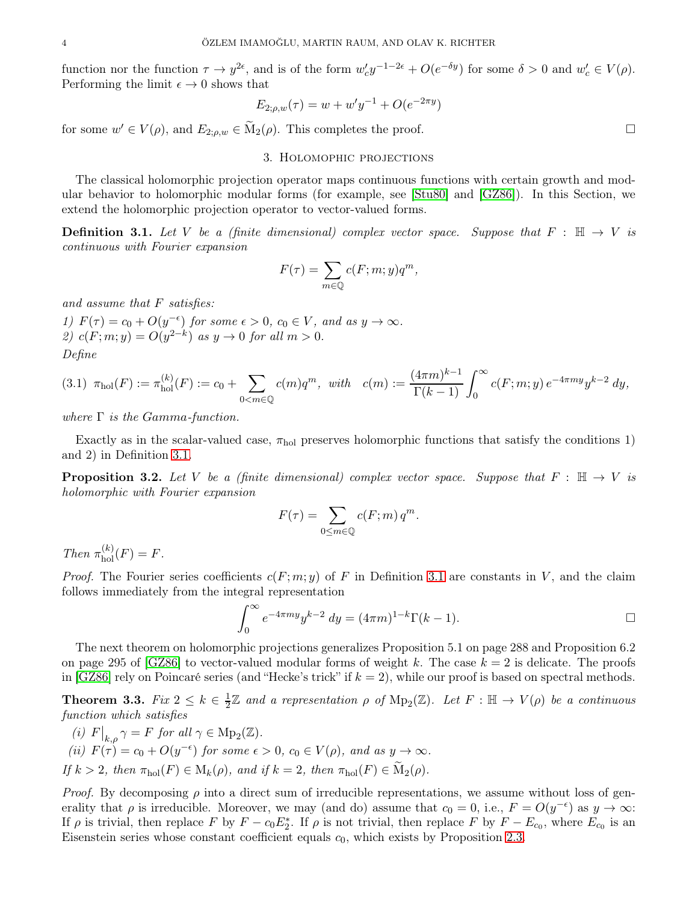function nor the function  $\tau \to y^{2\epsilon}$ , and is of the form  $w_c' y^{-1-2\epsilon} + O(e^{-\delta y})$  for some  $\delta > 0$  and  $w_c' \in V(\rho)$ . Performing the limit  $\epsilon \to 0$  shows that

$$
E_{2;\rho,w}(\tau) = w + w'y^{-1} + O(e^{-2\pi y})
$$

for some  $w' \in V(\rho)$ , and  $E_{2;\rho,w} \in \widetilde{M}_2(\rho)$ . This completes the proof.

### 3. Holomophic projections

The classical holomorphic projection operator maps continuous functions with certain growth and modular behavior to holomorphic modular forms (for example, see [\[Stu80\]](#page-9-18) and [\[GZ86\]](#page-9-16)). In this Section, we extend the holomorphic projection operator to vector-valued forms.

<span id="page-3-1"></span>**Definition 3.1.** Let V be a (finite dimensional) complex vector space. Suppose that  $F : \mathbb{H} \to V$  is continuous with Fourier expansion

$$
F(\tau) = \sum_{m \in \mathbb{Q}} c(F; m; y) q^m,
$$

and assume that F satisfies:

1)  $F(\tau) = c_0 + O(y^{-\epsilon})$  for some  $\epsilon > 0$ ,  $c_0 \in V$ , and as  $y \to \infty$ . 2)  $c(F; m; y) = O(y^{2-k})$  as  $y \to 0$  for all  $m > 0$ . Define

$$
(3.1) \ \pi_{hol}(F) := \pi_{hol}^{(k)}(F) := c_0 + \sum_{0 < m \in \mathbb{Q}} c(m)q^m, \ \ with \quad c(m) := \frac{(4\pi m)^{k-1}}{\Gamma(k-1)} \int_0^\infty c(F; m; y) \, e^{-4\pi my} y^{k-2} \, dy,
$$

where  $\Gamma$  is the Gamma-function.

Exactly as in the scalar-valued case,  $\pi_{hol}$  preserves holomorphic functions that satisfy the conditions 1) and 2) in Definition [3.1.](#page-3-1)

**Proposition 3.2.** Let V be a (finite dimensional) complex vector space. Suppose that  $F : \mathbb{H} \to V$  is holomorphic with Fourier expansion

$$
F(\tau) = \sum_{0 \le m \in \mathbb{Q}} c(F; m) q^m.
$$

Then  $\pi_{hol}^{(k)}(F) = F$ .

*Proof.* The Fourier series coefficients  $c(F; m; y)$  of F in Definition [3.1](#page-3-1) are constants in V, and the claim follows immediately from the integral representation

$$
\int_0^\infty e^{-4\pi my} y^{k-2} dy = (4\pi m)^{1-k} \Gamma(k-1).
$$

The next theorem on holomorphic projections generalizes Proposition 5.1 on page 288 and Proposition 6.2 on page 295 of [\[GZ86\]](#page-9-16) to vector-valued modular forms of weight k. The case  $k = 2$  is delicate. The proofs in [\[GZ86\]](#page-9-16) rely on Poincaré series (and "Hecke's trick" if  $k = 2$ ), while our proof is based on spectral methods.

<span id="page-3-0"></span>Theorem 3.3.  $Fix\ 2\leq k\in\frac{1}{2}$  $\frac{1}{2}\mathbb{Z}$  and a representation  $\rho$  of  $Mp_2(\mathbb{Z})$ . Let  $F : \mathbb{H} \to V(\rho)$  be a continuous function which satisfies

- (i)  $F|_{k,\rho} \gamma = F$  for all  $\gamma \in \text{Mp}_2(\mathbb{Z})$ .
- (ii)  $F(\tau) = c_0 + O(y^{-\epsilon})$  for some  $\epsilon > 0$ ,  $c_0 \in V(\rho)$ , and as  $y \to \infty$ .

If 
$$
k > 2
$$
, then  $\pi_{hol}(F) \in M_k(\rho)$ , and if  $k = 2$ , then  $\pi_{hol}(F) \in M_2(\rho)$ .

*Proof.* By decomposing  $\rho$  into a direct sum of irreducible representations, we assume without loss of generality that  $\rho$  is irreducible. Moreover, we may (and do) assume that  $c_0 = 0$ , i.e.,  $F = O(y^{-\epsilon})$  as  $y \to \infty$ : If ρ is trivial, then replace F by  $F - c_0 E_2^*$ . If ρ is not trivial, then replace F by  $F - E_{c_0}$ , where  $E_{c_0}$  is an Eisenstein series whose constant coefficient equals  $c_0$ , which exists by Proposition [2.3.](#page-2-1)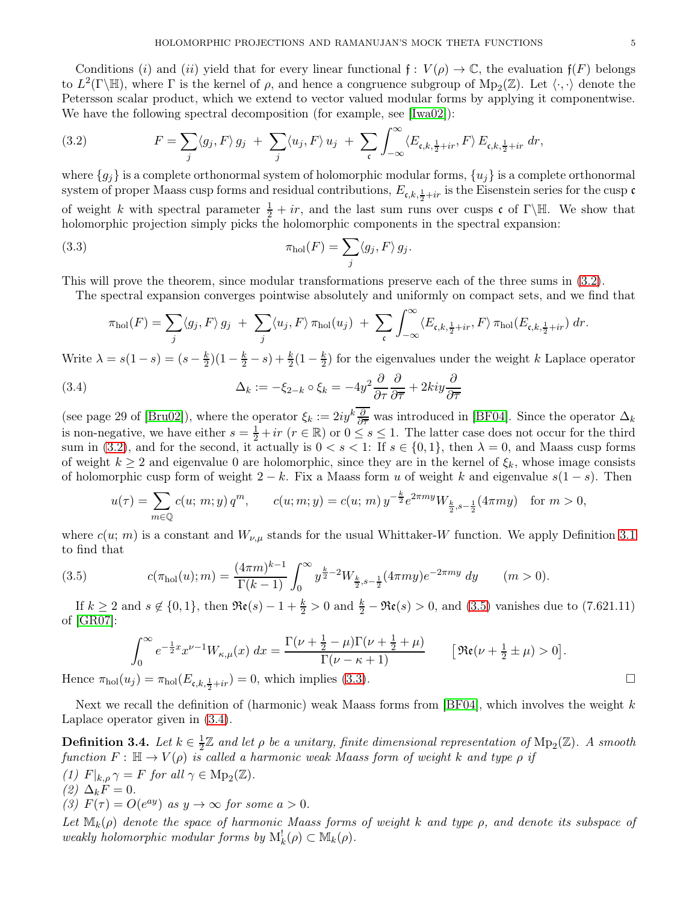Conditions (i) and (ii) yield that for every linear functional  $f: V(\rho) \to \mathbb{C}$ , the evaluation  $f(F)$  belongs to  $L^2(\Gamma \backslash \mathbb{H})$ , where  $\Gamma$  is the kernel of  $\rho$ , and hence a congruence subgroup of  $Mp_2(\mathbb{Z})$ . Let  $\langle \cdot, \cdot \rangle$  denote the Petersson scalar product, which we extend to vector valued modular forms by applying it componentwise. We have the following spectral decomposition (for example, see [\[Iwa02\]](#page-9-19)):

<span id="page-4-0"></span>(3.2) 
$$
F = \sum_{j} \langle g_j, F \rangle g_j + \sum_{j} \langle u_j, F \rangle u_j + \sum_{\mathfrak{c}} \int_{-\infty}^{\infty} \langle E_{\mathfrak{c}, k, \frac{1}{2} + ir}, F \rangle E_{\mathfrak{c}, k, \frac{1}{2} + ir} dr,
$$

where  $\{g_i\}$  is a complete orthonormal system of holomorphic modular forms,  $\{u_i\}$  is a complete orthonormal system of proper Maass cusp forms and residual contributions,  $E_{\mathfrak{c},k,\frac{1}{2}+ir}$  is the Eisenstein series for the cusp  $\mathfrak{c}$ of weight k with spectral parameter  $\frac{1}{2} + ir$ , and the last sum runs over cusps c of Γ\H. We show that holomorphic projection simply picks the holomorphic components in the spectral expansion:

<span id="page-4-2"></span>(3.3) 
$$
\pi_{hol}(F) = \sum_{j} \langle g_j, F \rangle g_j.
$$

This will prove the theorem, since modular transformations preserve each of the three sums in [\(3.2\)](#page-4-0).

The spectral expansion converges pointwise absolutely and uniformly on compact sets, and we find that

$$
\pi_{hol}(F) = \sum_j \langle g_j, F \rangle g_j + \sum_j \langle u_j, F \rangle \pi_{hol}(u_j) + \sum_{\mathfrak{c}} \int_{-\infty}^{\infty} \langle E_{\mathfrak{c},k, \frac{1}{2}+ir}, F \rangle \pi_{hol}(E_{\mathfrak{c},k, \frac{1}{2}+ir}) dr.
$$

Write  $\lambda = s(1-s) = (s - \frac{k}{2})$  $(\frac{k}{2})(1-\frac{k}{2}-s)+\frac{k}{2}(1-\frac{k}{2})$  $\frac{k}{2}$ ) for the eigenvalues under the weight k Laplace operator

<span id="page-4-3"></span>(3.4) 
$$
\Delta_k := -\xi_{2-k} \circ \xi_k = -4y^2 \frac{\partial}{\partial \tau} \frac{\partial}{\partial \overline{\tau}} + 2kiy \frac{\partial}{\partial \overline{\tau}}
$$

(see page 29 of [\[Bru02\]](#page-9-20)), where the operator  $\xi_k := 2iy^k \frac{\partial}{\partial \overline{\tau}}$  was introduced in [\[BF04\]](#page-9-21). Since the operator  $\Delta_k$ is non-negative, we have either  $s = \frac{1}{2} + ir$   $(r \in \mathbb{R})$  or  $0 \le s \le 1$ . The latter case does not occur for the third sum in [\(3.2\)](#page-4-0), and for the second, it actually is  $0 < s < 1$ : If  $s \in \{0,1\}$ , then  $\lambda = 0$ , and Maass cusp forms of weight  $k \geq 2$  and eigenvalue 0 are holomorphic, since they are in the kernel of  $\xi_k$ , whose image consists of holomorphic cusp form of weight  $2 - k$ . Fix a Maass form u of weight k and eigenvalue  $s(1 - s)$ . Then

$$
u(\tau) = \sum_{m \in \mathbb{Q}} c(u; m; y) q^m, \qquad c(u; m; y) = c(u; m) y^{-\frac{k}{2}} e^{2\pi my} W_{\frac{k}{2}, s - \frac{1}{2}}(4\pi my) \quad \text{for } m > 0,
$$

where  $c(u; m)$  is a constant and  $W_{\nu,\mu}$  stands for the usual Whittaker-W function. We apply Definition [3.1](#page-3-1) to find that

<span id="page-4-1"></span>(3.5) 
$$
c(\pi_{hol}(u);m) = \frac{(4\pi m)^{k-1}}{\Gamma(k-1)} \int_0^\infty y^{\frac{k}{2}-2} W_{\frac{k}{2},s-\frac{1}{2}}(4\pi my)e^{-2\pi my} dy \qquad (m>0).
$$

If  $k \geq 2$  and  $s \notin \{0, 1\}$ , then  $\Re(\epsilon) - 1 + \frac{k}{2} > 0$  and  $\frac{k}{2} - \Re(\epsilon) > 0$ , and  $(3.5)$  vanishes due to  $(7.621.11)$ of [\[GR07\]](#page-9-22):

$$
\int_0^\infty e^{-\frac{1}{2}x} x^{\nu-1} W_{\kappa,\mu}(x) dx = \frac{\Gamma(\nu + \frac{1}{2} - \mu)\Gamma(\nu + \frac{1}{2} + \mu)}{\Gamma(\nu - \kappa + 1)} \qquad [\Re(\nu + \frac{1}{2} \pm \mu) > 0].
$$
  
Hence  $\pi_{\text{hol}}(u_j) = \pi_{\text{hol}}(E_{\mathfrak{c},k,\frac{1}{2} + ir}) = 0$ , which implies (3.3).

Next we recall the definition of (harmonic) weak Maass forms from [\[BF04\]](#page-9-21), which involves the weight  $k$ Laplace operator given in [\(3.4\)](#page-4-3).

Definition 3.4. Let  $k \in \frac{1}{2}$  $\frac{1}{2}\mathbb{Z}$  and let  $\rho$  be a unitary, finite dimensional representation of  $\mathrm{Mp}_2(\mathbb{Z})$ . A smooth function  $F: \mathbb{H} \to V(\rho)$  is called a harmonic weak Maass form of weight k and type  $\rho$  if

(1)  $F|_{k,\rho} \gamma = F$  for all  $\gamma \in \text{Mp}_2(\mathbb{Z})$ .

$$
(2) \ \Delta_k F = 0.
$$

(3)  $F(\tau) = O(e^{ay})$  as  $y \to \infty$  for some  $a > 0$ .

Let  $\mathbb{M}_k(\rho)$  denote the space of harmonic Maass forms of weight k and type  $\rho$ , and denote its subspace of weakly holomorphic modular forms by  $M_k^!(\rho) \subset M_k(\rho)$ .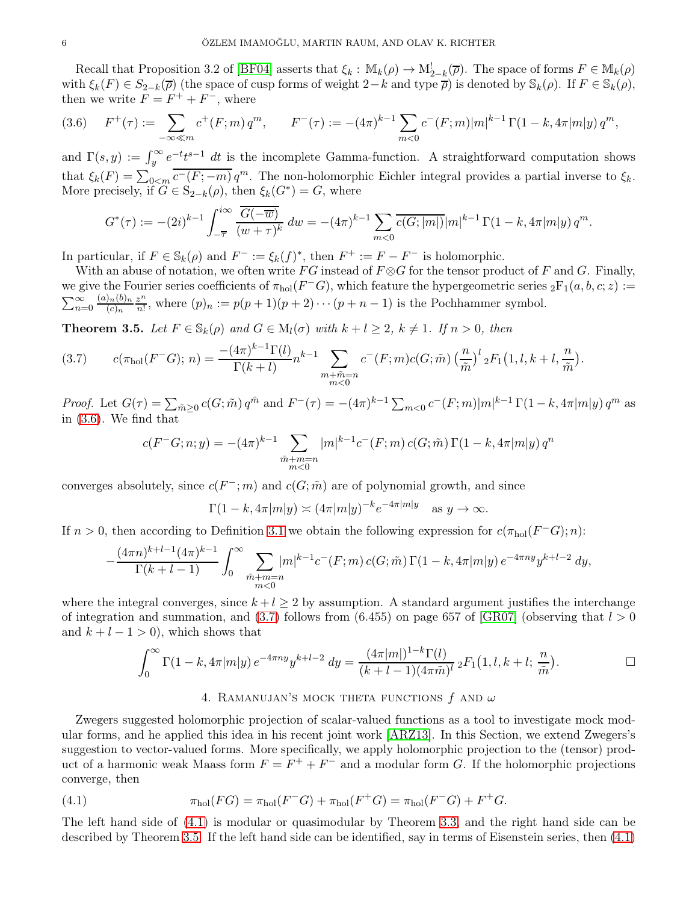Recall that Proposition 3.2 of [\[BF04\]](#page-9-21) asserts that  $\xi_k$ :  $\mathbb{M}_k(\rho) \to \mathbb{M}_{2-k}^! (\overline{\rho})$ . The space of forms  $F \in \mathbb{M}_k(\rho)$ with  $\xi_k(F) \in S_{2-k}(\overline{\rho})$  (the space of cusp forms of weight  $2-k$  and type  $\overline{\rho}$ ) is denoted by  $\mathbb{S}_k(\rho)$ . If  $F \in \mathbb{S}_k(\rho)$ , then we write  $F = F^+ + F^-$ , where

<span id="page-5-1"></span>
$$
(3.6) \quad F^+(\tau) := \sum_{-\infty \ll m} c^+(F; m) q^m, \qquad F^-(\tau) := -(4\pi)^{k-1} \sum_{m < 0} c^-(F; m) |m|^{k-1} \Gamma(1 - k, 4\pi |m| y) q^m,
$$

and  $\Gamma(s, y) := \int_{y}^{\infty} e^{-t} t^{s-1} dt$  is the incomplete Gamma-function. A straightforward computation shows that  $\xi_k(F) = \sum_{0 \le m} \overline{c^-(F; -m)} q^m$ . The non-holomorphic Eichler integral provides a partial inverse to  $\xi_k$ . More precisely, if  $\widetilde{G} \in S_{2-k}(\rho)$ , then  $\xi_k(G^*) = G$ , where

$$
G^*(\tau) := -(2i)^{k-1} \int_{-\overline{\tau}}^{i\infty} \frac{\overline{G(-\overline{w})}}{(w+\tau)^k} dw = -(4\pi)^{k-1} \sum_{m<0} \overline{c(G;|m|)} |m|^{k-1} \Gamma(1-k,4\pi|m|y) q^m.
$$

In particular, if  $F \in \mathbb{S}_k(\rho)$  and  $F^- := \xi_k(f)^*$ , then  $F^+ := F - F^-$  is holomorphic.

With an abuse of notation, we often write FG instead of  $F \otimes G$  for the tensor product of F and G. Finally, we give the Fourier series coefficients of  $\pi_{hol}(F^-G)$ , which feature the hypergeometric series  ${}_2F_1(a, b, c; z) :=$  $\sum_{n=0}^{\infty}$  $(a)_n(b)_n$  $(c)_n$ z n  $\frac{z^n}{n!}$ , where  $(p)_n := p(p+1)(p+2)\cdots(p+n-1)$  is the Pochhammer symbol.

<span id="page-5-0"></span>**Theorem 3.5.** Let  $F \in \mathbb{S}_k(\rho)$  and  $G \in M_l(\sigma)$  with  $k + l \geq 2$ ,  $k \neq 1$ . If  $n > 0$ , then

<span id="page-5-2"></span>(3.7) 
$$
c(\pi_{hol}(F^{-}G); n) = \frac{-(4\pi)^{k-1}\Gamma(l)}{\Gamma(k+l)} n^{k-1} \sum_{\substack{m+\tilde{m}=n\\m<0}} c^{-}(F; m)c(G; \tilde{m}) \left(\frac{n}{\tilde{m}}\right)^{l} {}_{2}F_{1}(1, l, k+l, \frac{n}{\tilde{m}}).
$$

*Proof.* Let  $G(\tau) = \sum_{\tilde{m}\geq 0} c(G;\tilde{m}) q^{\tilde{m}}$  and  $F^-(\tau) = -(4\pi)^{k-1} \sum_{m<0} c^-(F;m)|m|^{k-1} \Gamma(1-k, 4\pi|m|y) q^m$  as in [\(3.6\)](#page-5-1). We find that

$$
c(F^-G;n;y) = -(4\pi)^{k-1} \sum_{\substack{\tilde{m}+m=n\\m<0}} |m|^{k-1} c^-(F;m) c(G;\tilde{m}) \Gamma(1-k,4\pi|m|y) q^n
$$

converges absolutely, since  $c(F^-; m)$  and  $c(G; \tilde{m})$  are of polynomial growth, and since

$$
\Gamma(1-k, 4\pi|m|y) \asymp (4\pi|m|y)^{-k} e^{-4\pi|m|y} \quad \text{as } y \to \infty.
$$

If  $n > 0$ , then according to Definition [3.1](#page-3-1) we obtain the following expression for  $c(\pi_{hol}(F^-G); n)$ :

$$
-\frac{(4\pi n)^{k+l-1}(4\pi)^{k-1}}{\Gamma(k+l-1)}\int_0^\infty \sum_{\substack{\tilde{m}+m=n\\m<0}} |m|^{k-1}c^-(F;m)\,c(G;\tilde{m})\,\Gamma(1-k,4\pi|m|y)\,e^{-4\pi ny}y^{k+l-2}\,dy,
$$

where the integral converges, since  $k + l \geq 2$  by assumption. A standard argument justifies the interchange of integration and summation, and [\(3.7\)](#page-5-2) follows from (6.455) on page 657 of [\[GR07\]](#page-9-22) (observing that  $l > 0$ and  $k + l - 1 > 0$ , which shows that

$$
\int_0^\infty \Gamma(1-k, 4\pi |m|y) e^{-4\pi ny} y^{k+l-2} dy = \frac{(4\pi |m|)^{1-k} \Gamma(l)}{(k+l-1)(4\pi \tilde{m})^l} {}_2F_1(1, l, k+l; \frac{n}{\tilde{m}}).
$$

## 4. RAMANUJAN'S MOCK THETA FUNCTIONS  $f$  and  $\omega$

Zwegers suggested holomorphic projection of scalar-valued functions as a tool to investigate mock modular forms, and he applied this idea in his recent joint work [\[ARZ13\]](#page-9-15). In this Section, we extend Zwegers's suggestion to vector-valued forms. More specifically, we apply holomorphic projection to the (tensor) product of a harmonic weak Maass form  $F = F^+ + F^-$  and a modular form G. If the holomorphic projections converge, then

<span id="page-5-3"></span>(4.1) 
$$
\pi_{hol}(FG) = \pi_{hol}(F^-G) + \pi_{hol}(F^+G) = \pi_{hol}(F^-G) + F^+G.
$$

The left hand side of [\(4.1\)](#page-5-3) is modular or quasimodular by Theorem [3.3,](#page-3-0) and the right hand side can be described by Theorem [3.5.](#page-5-0) If the left hand side can be identified, say in terms of Eisenstein series, then [\(4.1\)](#page-5-3)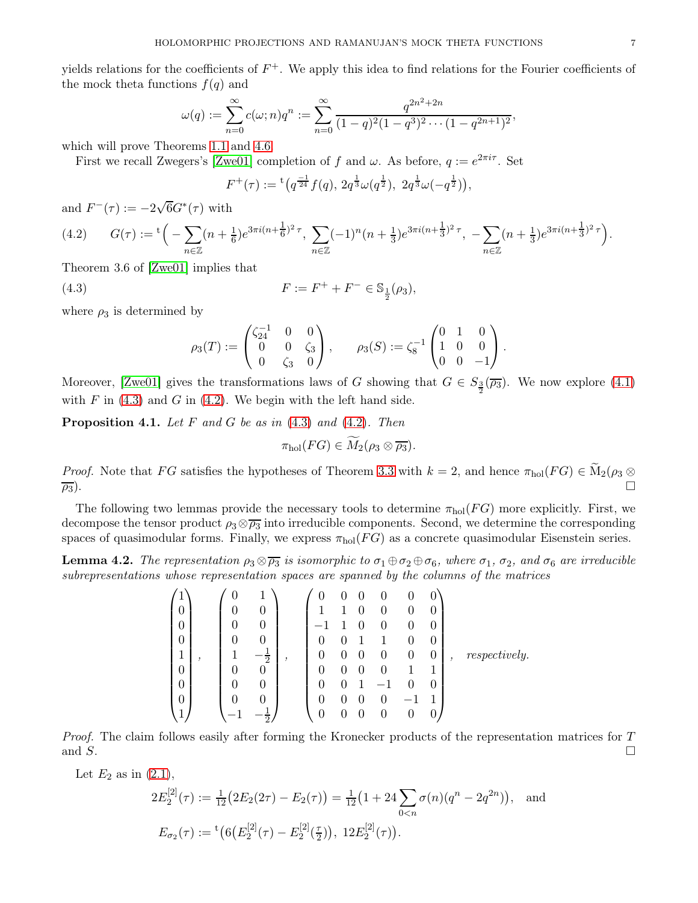yields relations for the coefficients of  $F^+$ . We apply this idea to find relations for the Fourier coefficients of the mock theta functions  $f(q)$  and

$$
\omega(q) := \sum_{n=0}^{\infty} c(\omega; n) q^n := \sum_{n=0}^{\infty} \frac{q^{2n^2 + 2n}}{(1-q)^2 (1-q^3)^2 \cdots (1-q^{2n+1})^2},
$$

which will prove Theorems [1.1](#page-0-0) and [4.6.](#page-8-0)

First we recall Zwegers's [\[Zwe01\]](#page-9-9) completion of f and  $\omega$ . As before,  $q := e^{2\pi i \tau}$ . Set

$$
F^+(\tau) := {}^{\rm t}\left(q^{\frac{-1}{24}}f(q),\, 2q^{\frac{1}{3}}\omega(q^{\frac{1}{2}}),\, 2q^{\frac{1}{3}}\omega(-q^{\frac{1}{2}})\right),\,
$$

and  $F^-(\tau) := -2\sqrt{6}G^*(\tau)$  with

<span id="page-6-1"></span>
$$
(4.2) \qquad G(\tau) := \sqrt[t]{-\sum_{n\in\mathbb{Z}} (n+\frac{1}{6})e^{3\pi i(n+\frac{1}{6})^2 \tau}}, \sum_{n\in\mathbb{Z}} (-1)^n (n+\frac{1}{3})e^{3\pi i(n+\frac{1}{3})^2 \tau}, -\sum_{n\in\mathbb{Z}} (n+\frac{1}{3})e^{3\pi i(n+\frac{1}{3})^2 \tau} \Big).
$$

Theorem 3.6 of [\[Zwe01\]](#page-9-9) implies that

<span id="page-6-0"></span>(4.3) 
$$
F := F^+ + F^- \in \mathbb{S}_{\frac{1}{2}}(\rho_3),
$$

where  $\rho_3$  is determined by

$$
\rho_3(T):=\begin{pmatrix} \zeta_{24}^{-1} & 0 & 0 \\ 0 & 0 & \zeta_3 \\ 0 & \zeta_3 & 0 \end{pmatrix}, \qquad \rho_3(S):=\zeta_8^{-1}\begin{pmatrix} 0 & 1 & 0 \\ 1 & 0 & 0 \\ 0 & 0 & -1 \end{pmatrix}.
$$

Moreover, [\[Zwe01\]](#page-9-9) gives the transformations laws of G showing that  $G \in S_{\frac{3}{2}}(\overline{\rho_3})$ . We now explore [\(4.1\)](#page-5-3) with  $F$  in [\(4.3\)](#page-6-0) and  $G$  in [\(4.2\)](#page-6-1). We begin with the left hand side.

<span id="page-6-3"></span>**Proposition 4.1.** Let  $F$  and  $G$  be as in  $(4.3)$  and  $(4.2)$ . Then

$$
\pi_{hol}(FG)\in M_2(\rho_3\otimes\overline{\rho_3}).
$$

*Proof.* Note that FG satisfies the hypotheses of Theorem [3.3](#page-3-0) with  $k = 2$ , and hence  $\pi_{hol}(FG) \in M_2(\rho_3 \otimes \overline{\rho_3})$ .  $\overline{p_3}$ ).

The following two lemmas provide the necessary tools to determine  $\pi_{hol}(FG)$  more explicitly. First, we decompose the tensor product  $\rho_3 \otimes \overline{\rho_3}$  into irreducible components. Second, we determine the corresponding spaces of quasimodular forms. Finally, we express  $\pi_{hol}(FG)$  as a concrete quasimodular Eisenstein series.

<span id="page-6-2"></span>**Lemma 4.2.** The representation  $\rho_3 \otimes \overline{\rho_3}$  is isomorphic to  $\sigma_1 \oplus \sigma_2 \oplus \sigma_6$ , where  $\sigma_1$ ,  $\sigma_2$ , and  $\sigma_6$  are irreducible subrepresentations whose representation spaces are spanned by the columns of the matrices

$$
\begin{pmatrix}\n1 \\
0 \\
0 \\
0 \\
0 \\
1 \\
0 \\
0 \\
0 \\
0 \\
0 \\
1\n\end{pmatrix}, \quad\n\begin{pmatrix}\n0 & 1 \\
0 & 0 \\
0 & 0 \\
0 & 0 \\
1 & -\frac{1}{2} \\
0 & 0 \\
0 & 0 \\
-1 & -\frac{1}{2}\n\end{pmatrix}, \quad\n\begin{pmatrix}\n0 & 0 & 0 & 0 & 0 & 0 \\
1 & 1 & 0 & 0 & 0 & 0 \\
-1 & 1 & 0 & 0 & 0 & 0 \\
0 & 0 & 1 & 1 & 0 & 0 \\
0 & 0 & 0 & 0 & 0 & 0 \\
0 & 0 & 0 & 0 & 1 & 1 \\
0 & 0 & 0 & 0 & 0 & -1 & 1 \\
0 & 0 & 0 & 0 & 0 & 0 & 0\n\end{pmatrix}, respectively.
$$

Proof. The claim follows easily after forming the Kronecker products of the representation matrices for T and  $S$ .

Let  $E_2$  as in  $(2.1)$ ,

$$
2E_2^{[2]}(\tau) := \frac{1}{12} \left( 2E_2(2\tau) - E_2(\tau) \right) = \frac{1}{12} \left( 1 + 24 \sum_{0 < n} \sigma(n) (q^n - 2q^{2n}) \right), \text{ and}
$$
\n
$$
E_{\sigma_2}(\tau) := {}^{\rm t} \left( 6 \left( E_2^{[2]}(\tau) - E_2^{[2]}(\tau) \right), \ 12E_2^{[2]}(\tau) \right).
$$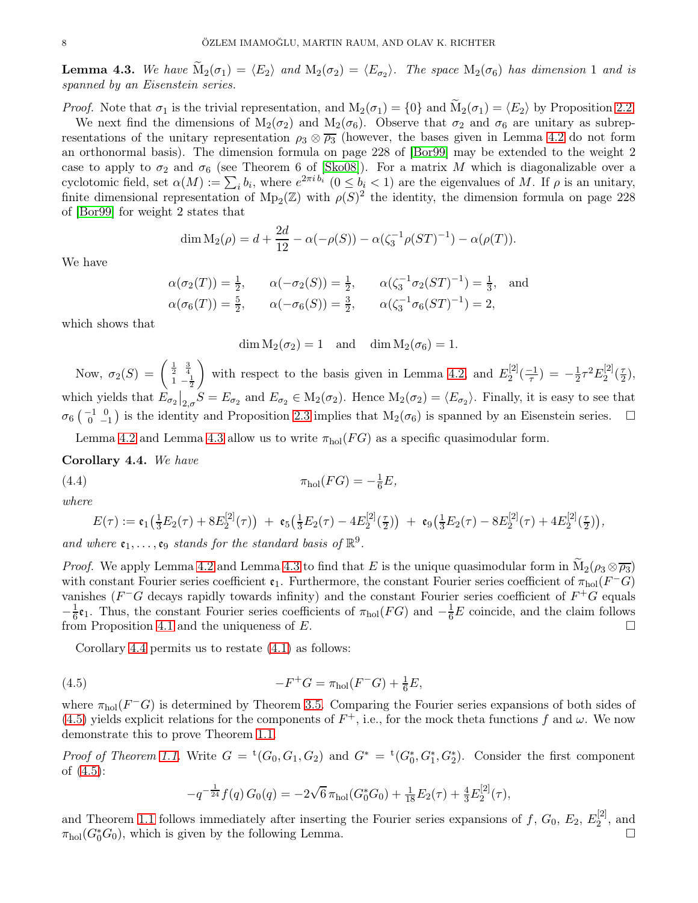<span id="page-7-0"></span>**Lemma 4.3.** We have  $M_2(\sigma_1) = \langle E_2 \rangle$  and  $M_2(\sigma_2) = \langle E_{\sigma_2} \rangle$ . The space  $M_2(\sigma_6)$  has dimension 1 and is spanned by an Eisenstein series.

*Proof.* Note that  $\sigma_1$  is the trivial representation, and  $M_2(\sigma_1) = \{0\}$  and  $\widetilde{M}_2(\sigma_1) = \langle E_2 \rangle$  by Proposition [2.2.](#page-2-3)

We next find the dimensions of  $M_2(\sigma_2)$  and  $M_2(\sigma_6)$ . Observe that  $\sigma_2$  and  $\sigma_6$  are unitary as subrepresentations of the unitary representation  $\rho_3 \otimes \overline{\rho_3}$  (however, the bases given in Lemma [4.2](#page-6-2) do not form an orthonormal basis). The dimension formula on page 228 of [\[Bor99\]](#page-9-23) may be extended to the weight 2 case to apply to  $\sigma_2$  and  $\sigma_6$  (see Theorem 6 of [\[Sko08\]](#page-9-24)). For a matrix M which is diagonalizable over a cyclotomic field, set  $\alpha(M) := \sum_i b_i$ , where  $e^{2\pi i b_i}$   $(0 \leq b_i < 1)$  are the eigenvalues of M. If  $\rho$  is an unitary, finite dimensional representation of  $Mp_2(\mathbb{Z})$  with  $\rho(S)^2$  the identity, the dimension formula on page 228 of [\[Bor99\]](#page-9-23) for weight 2 states that

$$
\dim M_2(\rho) = d + \frac{2d}{12} - \alpha(-\rho(S)) - \alpha(\zeta_3^{-1}\rho(ST)^{-1}) - \alpha(\rho(T)).
$$

We have

$$
\alpha(\sigma_2(T)) = \frac{1}{2}, \qquad \alpha(-\sigma_2(S)) = \frac{1}{2}, \qquad \alpha(\zeta_3^{-1}\sigma_2(ST)^{-1}) = \frac{1}{3}, \text{ and}
$$
  
\n $\alpha(\sigma_6(T)) = \frac{5}{2}, \qquad \alpha(-\sigma_6(S)) = \frac{3}{2}, \qquad \alpha(\zeta_3^{-1}\sigma_6(ST)^{-1}) = 2,$ 

which shows that

 $\dim M_2(\sigma_2) = 1$  and  $\dim M_2(\sigma_6) = 1$ .

Now,  $\sigma_2(S) = \begin{pmatrix} \frac{1}{2} & \frac{3}{4} \\ 1 & -\frac{1}{2} \end{pmatrix}$  $\overline{ }$ with respect to the basis given in Lemma [4.2,](#page-6-2) and  $E_2^{[2]}$  $\frac{1}{2}^{2}(\frac{-1}{\tau})=-\frac{1}{2}$  $\frac{1}{2} \tau^2 E_2^{[2]}$  $\binom{[2]}{2}$   $\left(\frac{\tau}{2}\right)$  $\frac{\tau}{2}),$ which yields that  $E_{\sigma_2}|_{2,\sigma}S = E_{\sigma_2}$  and  $E_{\sigma_2} \in M_2(\sigma_2)$ . Hence  $M_2(\sigma_2) = \langle E_{\sigma_2} \rangle$ . Finally, it is easy to see that  $\sigma_6$   $\begin{pmatrix} -1 & 0 \\ 0 & -1 \end{pmatrix}$  is the identity and Proposition [2.3](#page-2-1) implies that  $M_2(\sigma_6)$  is spanned by an Eisenstein series.  $\Box$ 

Lemma [4.2](#page-6-2) and Lemma [4.3](#page-7-0) allow us to write  $\pi_{hol}(FG)$  as a specific quasimodular form.

<span id="page-7-1"></span>Corollary 4.4. We have

(4.4) 
$$
\pi_{hol}(FG) = -\frac{1}{6}E,
$$

where

$$
E(\tau) := \mathfrak{e}_1(\tfrac{1}{3}E_2(\tau) + 8E_2^{[2]}(\tau)) + \mathfrak{e}_5(\tfrac{1}{3}E_2(\tau) - 4E_2^{[2]}(\tfrac{\tau}{2})) + \mathfrak{e}_9(\tfrac{1}{3}E_2(\tau) - 8E_2^{[2]}(\tau) + 4E_2^{[2]}(\tfrac{\tau}{2})),
$$

and where  $\mathfrak{e}_1,\ldots,\mathfrak{e}_9$  stands for the standard basis of  $\mathbb{R}^9$ .

*Proof.* We apply Lemma [4.2](#page-6-2) and Lemma [4.3](#page-7-0) to find that E is the unique quasimodular form in  $\widetilde{M}_2(\rho_3 \otimes \overline{\rho_3})$ with constant Fourier series coefficient  $\mathfrak{e}_1$ . Furthermore, the constant Fourier series coefficient of  $\pi_{hol}(F^-G)$ vanishes ( $F^-G$  decays rapidly towards infinity) and the constant Fourier series coefficient of  $F^+G$  equals  $-\frac{1}{6}$  $\frac{1}{6}$ **e**<sub>1</sub>. Thus, the constant Fourier series coefficients of  $\pi_{hol}(FG)$  and  $-\frac{1}{6}E$  coincide, and the claim follows from Proposition [4.1](#page-6-3) and the uniqueness of  $E$ .

Corollary [4.4](#page-7-1) permits us to restate [\(4.1\)](#page-5-3) as follows:

<span id="page-7-2"></span>(4.5) 
$$
-F^{+}G = \pi_{hol}(F^{-}G) + \frac{1}{6}E,
$$

where  $\pi_{hol}(F^-G)$  is determined by Theorem [3.5.](#page-5-0) Comparing the Fourier series expansions of both sides of [\(4.5\)](#page-7-2) yields explicit relations for the components of  $F^+$ , i.e., for the mock theta functions f and  $\omega$ . We now demonstrate this to prove Theorem [1.1.](#page-0-0)

*Proof of Theorem [1.1.](#page-0-0)* Write  $G = {}^t(G_0, G_1, G_2)$  and  $G^* = {}^t(G_0^*, G_1^*, G_2^*)$ . Consider the first component of [\(4.5\)](#page-7-2):

$$
-q^{-\frac{1}{24}}f(q)G_0(q) = -2\sqrt{6}\pi_{hol}(G_0^*G_0) + \frac{1}{18}E_2(\tau) + \frac{4}{3}E_2^{[2]}(\tau),
$$

and Theorem [1.1](#page-0-0) follows immediately after inserting the Fourier series expansions of f,  $G_0$ ,  $E_2$ ,  $E_2^{[2]}$  $2^{[2]}$ , and  $\pi_{hol}(G_0^*G_0)$ , which is given by the following Lemma.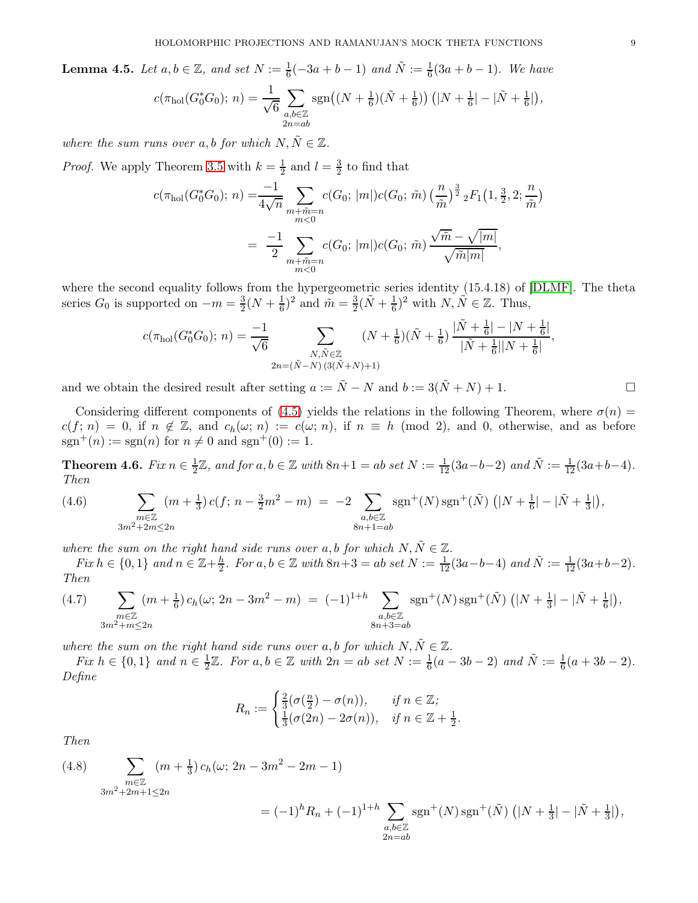<span id="page-8-1"></span>**Lemma 4.5.** Let  $a, b \in \mathbb{Z}$ , and set  $N := \frac{1}{6}(-3a + b - 1)$  and  $\tilde{N} := \frac{1}{6}(3a + b - 1)$ . We have

$$
c(\pi_{hol}(G_0^*G_0); n) = \frac{1}{\sqrt{6}} \sum_{\substack{a,b \in \mathbb{Z} \\ 2n = ab}} \text{sgn}\big((N + \frac{1}{6})(\tilde{N} + \frac{1}{6})\big) \left(|N + \frac{1}{6}| - |\tilde{N} + \frac{1}{6}|\right),
$$

where the sum runs over a, b for which  $N, \tilde{N} \in \mathbb{Z}$ .

*Proof.* We apply Theorem [3.5](#page-5-0) with  $k=\frac{1}{2}$  $\frac{1}{2}$  and  $l = \frac{3}{2}$  $\frac{3}{2}$  to find that

$$
c(\pi_{hol}(G_0^*G_0); n) = \frac{-1}{4\sqrt{n}} \sum_{\substack{m+\tilde{m}=n\\m<0}} c(G_0; |m|) c(G_0; \tilde{m}) \left(\frac{n}{\tilde{m}}\right)^{\frac{3}{2}} {}_{2}F_1\left(1, \frac{3}{2}, 2; \frac{n}{\tilde{m}}\right)
$$
  

$$
= \frac{-1}{2} \sum_{\substack{m+\tilde{m}=n\\m<0}} c(G_0; |m|) c(G_0; \tilde{m}) \frac{\sqrt{\tilde{m}} - \sqrt{|m|}}{\sqrt{\tilde{m}|m|}},
$$

where the second equality follows from the hypergeometric series identity (15.4.18) of [\[DLMF\]](#page-9-25). The theta series  $G_0$  is supported on  $-m=\frac{3}{2}$  $\frac{3}{2}(N+\frac{1}{6})$  $(\frac{1}{6})^2$  and  $\tilde{m} = \frac{3}{2}$  $\frac{3}{2}(\tilde{N}+\frac{1}{6}$  $(\frac{1}{6})^2$  with  $N, \tilde{N} \in \mathbb{Z}$ . Thus,

$$
c(\pi_{hol}(G_0^*G_0); n) = \frac{-1}{\sqrt{6}} \sum_{\substack{N, \tilde{N} \in \mathbb{Z} \\ 2n = (\tilde{N} - N)(3(\tilde{N} + N) + 1)}} (N + \frac{1}{6})(\tilde{N} + \frac{1}{6}) \frac{|\tilde{N} + \frac{1}{6}| - |N + \frac{1}{6}|}{|\tilde{N} + \frac{1}{6}||N + \frac{1}{6}|},
$$

and we obtain the desired result after setting  $a := \tilde{N} - N$  and  $b := 3(\tilde{N} + N) + 1$ .

Considering different components of [\(4.5\)](#page-7-2) yields the relations in the following Theorem, where  $\sigma(n)$  $c(f; n) = 0$ , if  $n \notin \mathbb{Z}$ , and  $c_h(\omega; n) := c(\omega; n)$ , if  $n \equiv h \pmod{2}$ , and 0, otherwise, and as before  $sgn^{+}(n) := sgn(n)$  for  $n \neq 0$  and  $sgn^{+}(0) := 1$ .

<span id="page-8-0"></span>Theorem 4.6. Fix  $n \in \frac{1}{2}$  $\frac{1}{2}\mathbb{Z}$ , and for  $a, b \in \mathbb{Z}$  with  $8n+1 = ab$  set  $N := \frac{1}{12}(3a-b-2)$  and  $\tilde{N} := \frac{1}{12}(3a+b-4)$ . Then

<span id="page-8-2"></span>(4.6) 
$$
\sum_{\substack{m\in\mathbb{Z}\\3m^2+2m\leq 2n}} (m+\frac{1}{3}) c(f; n-\frac{3}{2}m^2-m) = -2 \sum_{\substack{a,b\in\mathbb{Z}\\8n+1=ab}} \text{sgn}^+(N) \text{sgn}^+(\tilde{N}) \left(|N+\frac{1}{6}| - |\tilde{N}+\frac{1}{3}|\right),
$$

where the sum on the right hand side runs over a, b for which  $N, \tilde{N} \in \mathbb{Z}$ .

 $Fix h \in \{0,1\}$  and  $n \in \mathbb{Z}+\frac{h}{2}$  $\frac{h}{2}$ . For a, b ∈ Z with  $8n+3 = ab$  set  $N := \frac{1}{12}(3a-b-4)$  and  $\tilde{N} := \frac{1}{12}(3a+b-2)$ . Then

<span id="page-8-3"></span>
$$
(4.7) \sum_{\substack{m\in\mathbb{Z} \\ 3m^2+m\leq 2n}} (m+\frac{1}{6})c_h(\omega; 2n-3m^2-m) = (-1)^{1+h} \sum_{\substack{a,b\in\mathbb{Z} \\ 8n+3=ab}} \operatorname{sgn}^+(N) \operatorname{sgn}^+(\tilde{N}) \left(|N+\frac{1}{3}| - |\tilde{N}+\frac{1}{6}|\right),
$$

where the sum on the right hand side runs over a, b for which  $N, \tilde{N} \in \mathbb{Z}$ .

Fix  $h \in \{0,1\}$  and  $n \in \frac{1}{2}$  $\frac{1}{2}\mathbb{Z}$ . For  $a, b \in \mathbb{Z}$  with  $2n = ab$  set  $N := \frac{1}{6}(a - 3b - 2)$  and  $\tilde{N} := \frac{1}{6}(a + 3b - 2)$ . Define

$$
R_n := \begin{cases} \frac{2}{3}(\sigma(\frac{n}{2}) - \sigma(n)), & \text{if } n \in \mathbb{Z};\\ \frac{1}{3}(\sigma(2n) - 2\sigma(n)), & \text{if } n \in \mathbb{Z} + \frac{1}{2}. \end{cases}
$$

Then

<span id="page-8-4"></span>(4.8) 
$$
\sum_{\substack{m \in \mathbb{Z} \\ 3m^2 + 2m + 1 \le 2n}} (m + \frac{1}{3}) c_h(\omega; 2n - 3m^2 - 2m - 1)
$$

$$
= (-1)^h R_n + (-1)^{1+h} \sum_{a,b \in \mathbb{Z}} sgn^+(N) sgn^+(\tilde{N}) \left( |N + \frac{1}{3}| - |\tilde{N} + \frac{1}{3}| \right),
$$

 $_{2n=ab}$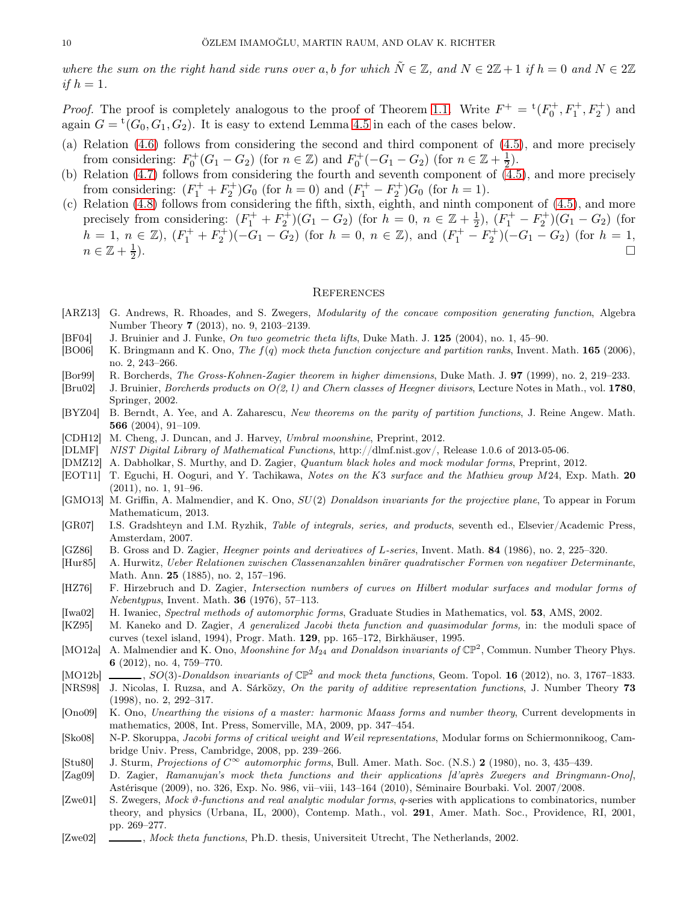where the sum on the right hand side runs over a, b for which  $\tilde{N} \in \mathbb{Z}$ , and  $N \in 2\mathbb{Z} + 1$  if  $h = 0$  and  $N \in 2\mathbb{Z}$ if  $h=1$ .

*Proof.* The proof is completely analogous to the proof of Theorem [1.1.](#page-0-0) Write  $F^+ = {}^{\rm t}(F_0^+, F_1^+, F_2^+)$  and again  $G = {}^{\rm t}(G_0, G_1, G_2)$ . It is easy to extend Lemma [4.5](#page-8-1) in each of the cases below.

- (a) Relation [\(4.6\)](#page-8-2) follows from considering the second and third component of [\(4.5\)](#page-7-2), and more precisely from considering:  $F_0^+(G_1 - G_2)$  (for  $n \in \mathbb{Z}$ ) and  $F_0^+(-G_1 - G_2)$  (for  $n \in \mathbb{Z} + \frac{1}{2}$  $(\frac{1}{2})$ .
- (b) Relation [\(4.7\)](#page-8-3) follows from considering the fourth and seventh component of [\(4.5\)](#page-7-2), and more precisely from considering:  $(F_1^+ + F_2^+)G_0$  (for  $h = 0$ ) and  $(F_1^+ - F_2^+)G_0$  (for  $h = 1$ ).
- (c) Relation [\(4.8\)](#page-8-4) follows from considering the fifth, sixth, eighth, and ninth component of [\(4.5\)](#page-7-2), and more precisely from considering:  $(F_1^+ + F_2^+)(G_1 - G_2)$  (for  $h = 0, n \in \mathbb{Z} + \frac{1}{2}$  $(\frac{1}{2}), (F_1^+ - F_2^+)(G_1 - G_2)$  (for  $h = 1, n \in \mathbb{Z}$ ),  $(F_1^+ + F_2^+) (-G_1 - G_2)$  (for  $h = 0, n \in \mathbb{Z}$ ), and  $(F_1^+ - F_2^+) (-G_1 - G_2)$  (for  $h = 1$ ,  $n \in \mathbb{Z}+\frac{1}{2}$ 2 ).

#### **REFERENCES**

- <span id="page-9-15"></span>[ARZ13] G. Andrews, R. Rhoades, and S. Zwegers, *Modularity of the concave composition generating function*, Algebra Number Theory 7 (2013), no. 9, 2103–2139.
- <span id="page-9-21"></span>[BF04] J. Bruinier and J. Funke, On two geometric theta lifts, Duke Math. J. 125 (2004), no. 1, 45–90.
- <span id="page-9-10"></span>[BO06] K. Bringmann and K. Ono, The  $f(q)$  mock theta function conjecture and partition ranks, Invent. Math. **165** (2006), no. 2, 243–266.
- <span id="page-9-23"></span>[Bor99] R. Borcherds, The Gross-Kohnen-Zagier theorem in higher dimensions, Duke Math. J. 97 (1999), no. 2, 219–233.
- <span id="page-9-20"></span>[Bru02] J. Bruinier, Borcherds products on O(2, l) and Chern classes of Heegner divisors, Lecture Notes in Math., vol. 1780, Springer, 2002.
- <span id="page-9-13"></span>[BYZ04] B. Berndt, A. Yee, and A. Zaharescu, New theorems on the parity of partition functions, J. Reine Angew. Math. 566 (2004), 91–109.
- <span id="page-9-4"></span>[CDH12] M. Cheng, J. Duncan, and J. Harvey, Umbral moonshine, Preprint, 2012.
- <span id="page-9-25"></span>[DLMF] NIST Digital Library of Mathematical Functions, http://dlmf.nist.gov/, Release 1.0.6 of 2013-05-06.
- <span id="page-9-5"></span>[DMZ12] A. Dabholkar, S. Murthy, and D. Zagier, Quantum black holes and mock modular forms, Preprint, 2012.
- <span id="page-9-3"></span>[EOT11] T. Eguchi, H. Ooguri, and Y. Tachikawa, Notes on the K3 surface and the Mathieu group M24, Exp. Math. 20 (2011), no. 1, 91–96.
- <span id="page-9-2"></span>[GMO13] M. Griffin, A. Malmendier, and K. Ono, SU(2) Donaldson invariants for the projective plane, To appear in Forum Mathematicum, 2013.
- <span id="page-9-22"></span>[GR07] I.S. Gradshteyn and I.M. Ryzhik, Table of integrals, series, and products, seventh ed., Elsevier/Academic Press, Amsterdam, 2007.
- <span id="page-9-16"></span>[GZ86] B. Gross and D. Zagier, Heegner points and derivatives of L-series, Invent. Math. 84 (1986), no. 2, 225–320.
- <span id="page-9-11"></span>[Hur85] A. Hurwitz, Ueber Relationen zwischen Classenanzahlen binärer quadratischer Formen von negativer Determinante, Math. Ann. 25 (1885), no. 2, 157–196.
- <span id="page-9-12"></span>[HZ76] F. Hirzebruch and D. Zagier, Intersection numbers of curves on Hilbert modular surfaces and modular forms of Nebentypus, Invent. Math. 36 (1976), 57–113.
- <span id="page-9-19"></span>[Iwa02] H. Iwaniec, Spectral methods of automorphic forms, Graduate Studies in Mathematics, vol. 53, AMS, 2002.
- <span id="page-9-17"></span>[KZ95] M. Kaneko and D. Zagier, A generalized Jacobi theta function and quasimodular forms, in: the moduli space of curves (texel island, 1994), Progr. Math. 129, pp. 165–172, Birkhäuser, 1995.
- <span id="page-9-1"></span>[MO12a] A. Malmendier and K. Ono, Moonshine for  $M_{24}$  and Donaldson invariants of  $\mathbb{CP}^2$ , Commun. Number Theory Phys. 6 (2012), no. 4, 759–770.
- <span id="page-9-0"></span>[MO12b]  $\ldots$ , SO(3)-Donaldson invariants of  $\mathbb{CP}^2$  and mock theta functions, Geom. Topol. 16 (2012), no. 3, 1767-1833.
- <span id="page-9-14"></span>[NRS98] J. Nicolas, I. Ruzsa, and A. Sárközy, On the parity of additive representation functions, J. Number Theory 73 (1998), no. 2, 292–317.
- <span id="page-9-7"></span>[Ono09] K. Ono, Unearthing the visions of a master: harmonic Maass forms and number theory, Current developments in mathematics, 2008, Int. Press, Somerville, MA, 2009, pp. 347–454.
- <span id="page-9-24"></span>[Sko08] N-P. Skoruppa, Jacobi forms of critical weight and Weil representations, Modular forms on Schiermonnikoog, Cambridge Univ. Press, Cambridge, 2008, pp. 239–266.
- <span id="page-9-18"></span>[Stu80] J. Sturm, Projections of  $C^{\infty}$  automorphic forms, Bull. Amer. Math. Soc. (N.S.) 2 (1980), no. 3, 435-439.
- <span id="page-9-6"></span>[Zag09] D. Zagier, Ramanujan's mock theta functions and their applications [d'après Zwegers and Bringmann-Ono], Astérisque (2009), no. 326, Exp. No. 986, vii–viii, 143–164 (2010), Séminaire Bourbaki. Vol. 2007/2008.
- <span id="page-9-9"></span>[Zwe01] S. Zwegers, Mock  $\vartheta$ -functions and real analytic modular forms, q-series with applications to combinatorics, number theory, and physics (Urbana, IL, 2000), Contemp. Math., vol. 291, Amer. Math. Soc., Providence, RI, 2001, pp. 269–277.
- <span id="page-9-8"></span>[Zwe02] , Mock theta functions, Ph.D. thesis, Universiteit Utrecht, The Netherlands, 2002.